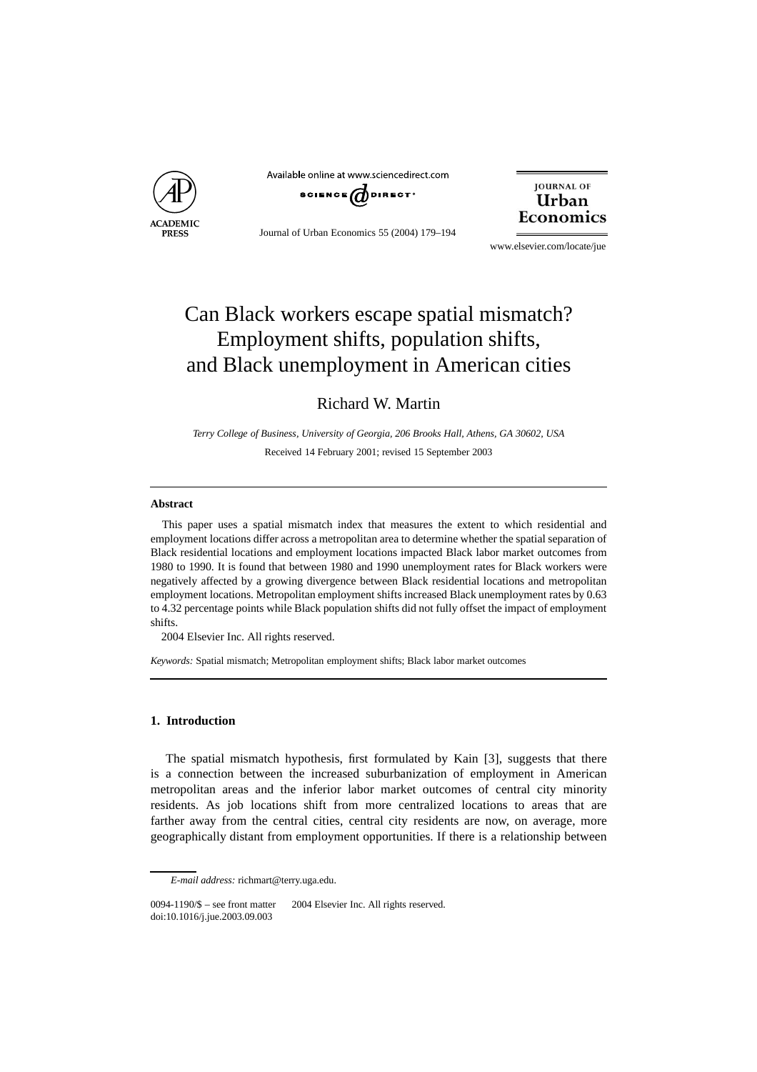

Available online at www.sciencedirect.com SCIENCE  $d$  DIRECT<sup>.</sup>

Journal of Urban Economics 55 (2004) 179–194



www.elsevier.com/locate/jue

## Can Black workers escape spatial mismatch? Employment shifts, population shifts, and Black unemployment in American cities

Richard W. Martin

*Terry College of Business, University of Georgia, 206 Brooks Hall, Athens, GA 30602, USA* Received 14 February 2001; revised 15 September 2003

## **Abstract**

This paper uses a spatial mismatch index that measures the extent to which residential and employment locations differ across a metropolitan area to determine whether the spatial separation of Black residential locations and employment locations impacted Black labor market outcomes from 1980 to 1990. It is found that between 1980 and 1990 unemployment rates for Black workers were negatively affected by a growing divergence between Black residential locations and metropolitan employment locations. Metropolitan employment shifts increased Black unemployment rates by 0.63 to 4.32 percentage points while Black population shifts did not fully offset the impact of employment shifts.

2004 Elsevier Inc. All rights reserved.

*Keywords:* Spatial mismatch; Metropolitan employment shifts; Black labor market outcomes

## **1. Introduction**

The spatial mismatch hypothesis, first formulated by Kain [3], suggests that there is a connection between the increased suburbanization of employment in American metropolitan areas and the inferior labor market outcomes of central city minority residents. As job locations shift from more centralized locations to areas that are farther away from the central cities, central city residents are now, on average, more geographically distant from employment opportunities. If there is a relationship between

*E-mail address:* richmart@terry.uga.edu.

 $0094-1190/\$$  – see front matter  $\degree$  2004 Elsevier Inc. All rights reserved. doi:10.1016/j.jue.2003.09.003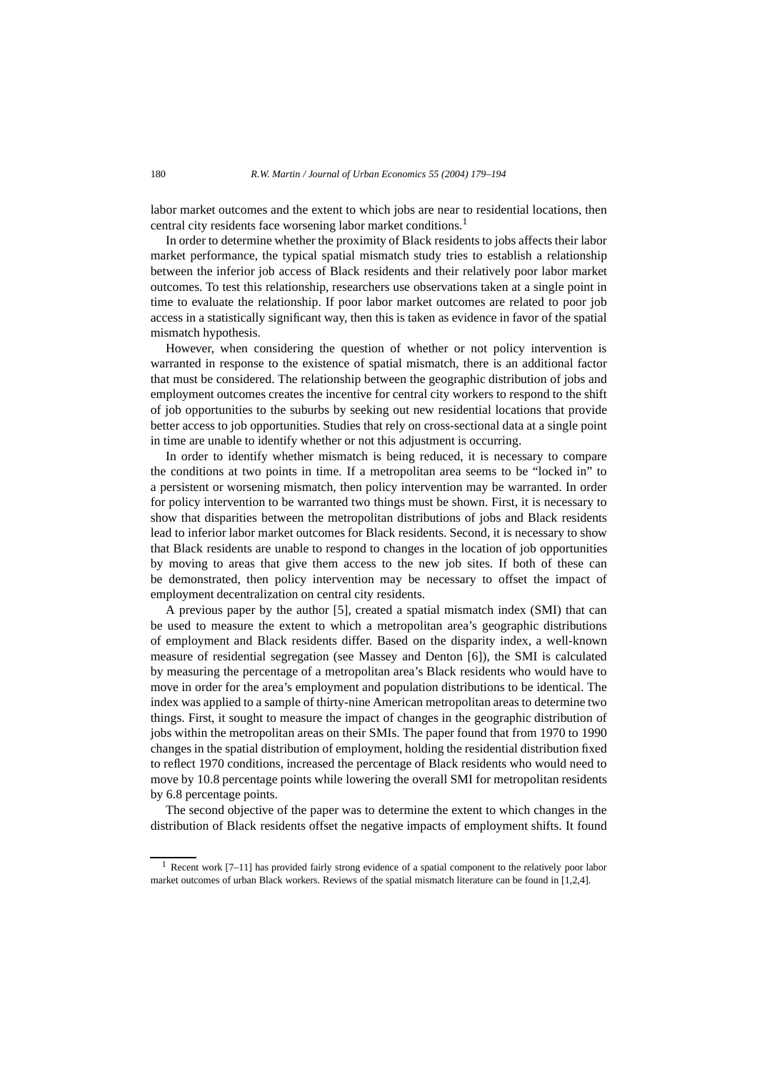labor market outcomes and the extent to which jobs are near to residential locations, then central city residents face worsening labor market conditions.<sup>1</sup>

In order to determine whether the proximity of Black residents to jobs affects their labor market performance, the typical spatial mismatch study tries to establish a relationship between the inferior job access of Black residents and their relatively poor labor market outcomes. To test this relationship, researchers use observations taken at a single point in time to evaluate the relationship. If poor labor market outcomes are related to poor job access in a statistically significant way, then this is taken as evidence in favor of the spatial mismatch hypothesis.

However, when considering the question of whether or not policy intervention is warranted in response to the existence of spatial mismatch, there is an additional factor that must be considered. The relationship between the geographic distribution of jobs and employment outcomes creates the incentive for central city workers to respond to the shift of job opportunities to the suburbs by seeking out new residential locations that provide better access to job opportunities. Studies that rely on cross-sectional data at a single point in time are unable to identify whether or not this adjustment is occurring.

In order to identify whether mismatch is being reduced, it is necessary to compare the conditions at two points in time. If a metropolitan area seems to be "locked in" to a persistent or worsening mismatch, then policy intervention may be warranted. In order for policy intervention to be warranted two things must be shown. First, it is necessary to show that disparities between the metropolitan distributions of jobs and Black residents lead to inferior labor market outcomes for Black residents. Second, it is necessary to show that Black residents are unable to respond to changes in the location of job opportunities by moving to areas that give them access to the new job sites. If both of these can be demonstrated, then policy intervention may be necessary to offset the impact of employment decentralization on central city residents.

A previous paper by the author [5], created a spatial mismatch index (SMI) that can be used to measure the extent to which a metropolitan area's geographic distributions of employment and Black residents differ. Based on the disparity index, a well-known measure of residential segregation (see Massey and Denton [6]), the SMI is calculated by measuring the percentage of a metropolitan area's Black residents who would have to move in order for the area's employment and population distributions to be identical. The index was applied to a sample of thirty-nine American metropolitan areas to determine two things. First, it sought to measure the impact of changes in the geographic distribution of jobs within the metropolitan areas on their SMIs. The paper found that from 1970 to 1990 changes in the spatial distribution of employment, holding the residential distribution fixed to reflect 1970 conditions, increased the percentage of Black residents who would need to move by 10.8 percentage points while lowering the overall SMI for metropolitan residents by 6.8 percentage points.

The second objective of the paper was to determine the extent to which changes in the distribution of Black residents offset the negative impacts of employment shifts. It found

<sup>1</sup> Recent work [7–11] has provided fairly strong evidence of a spatial component to the relatively poor labor market outcomes of urban Black workers. Reviews of the spatial mismatch literature can be found in [1,2,4].